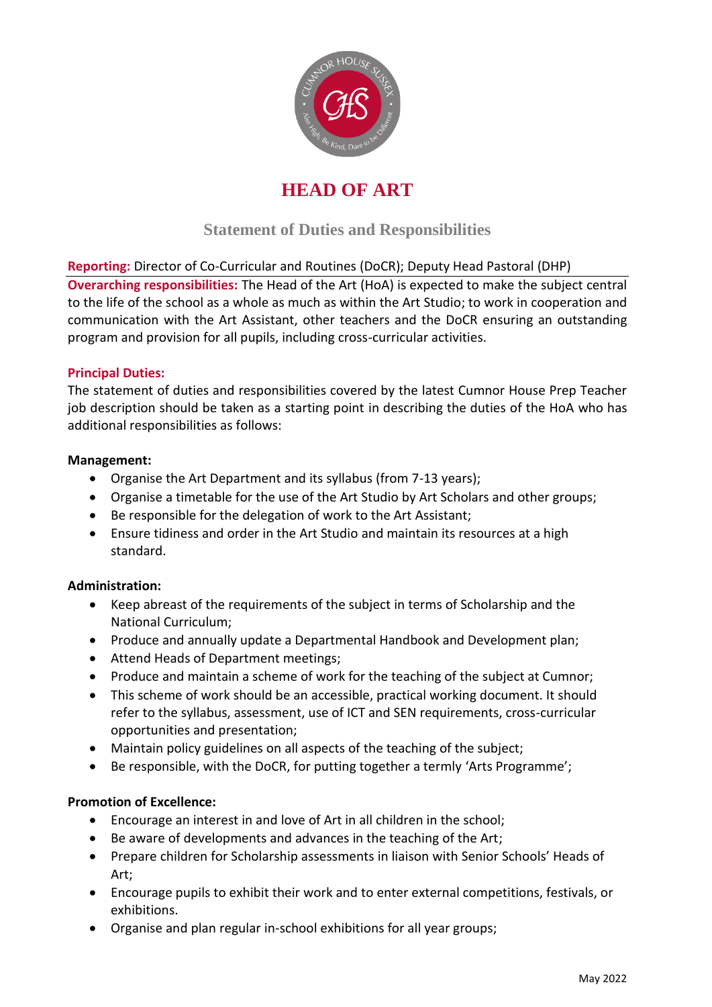

# **HEAD OF ART**

## **Statement of Duties and Responsibilities**

## **Reporting:** Director of Co-Curricular and Routines (DoCR); Deputy Head Pastoral (DHP)

**Overarching responsibilities:** The Head of the Art (HoA) is expected to make the subject central to the life of the school as a whole as much as within the Art Studio; to work in cooperation and communication with the Art Assistant, other teachers and the DoCR ensuring an outstanding program and provision for all pupils, including cross-curricular activities.

## **Principal Duties:**

The statement of duties and responsibilities covered by the latest Cumnor House Prep Teacher job description should be taken as a starting point in describing the duties of the HoA who has additional responsibilities as follows:

## **Management:**

- Organise the Art Department and its syllabus (from 7-13 years);
- Organise a timetable for the use of the Art Studio by Art Scholars and other groups;
- Be responsible for the delegation of work to the Art Assistant;
- Ensure tidiness and order in the Art Studio and maintain its resources at a high standard.

## **Administration:**

- Keep abreast of the requirements of the subject in terms of Scholarship and the National Curriculum;
- Produce and annually update a Departmental Handbook and Development plan;
- Attend Heads of Department meetings;
- Produce and maintain a scheme of work for the teaching of the subject at Cumnor;
- This scheme of work should be an accessible, practical working document. It should refer to the syllabus, assessment, use of ICT and SEN requirements, cross-curricular opportunities and presentation;
- Maintain policy guidelines on all aspects of the teaching of the subject;
- Be responsible, with the DoCR, for putting together a termly 'Arts Programme';

## **Promotion of Excellence:**

- Encourage an interest in and love of Art in all children in the school;
- Be aware of developments and advances in the teaching of the Art;
- Prepare children for Scholarship assessments in liaison with Senior Schools' Heads of Art;
- Encourage pupils to exhibit their work and to enter external competitions, festivals, or exhibitions.
- Organise and plan regular in-school exhibitions for all year groups;